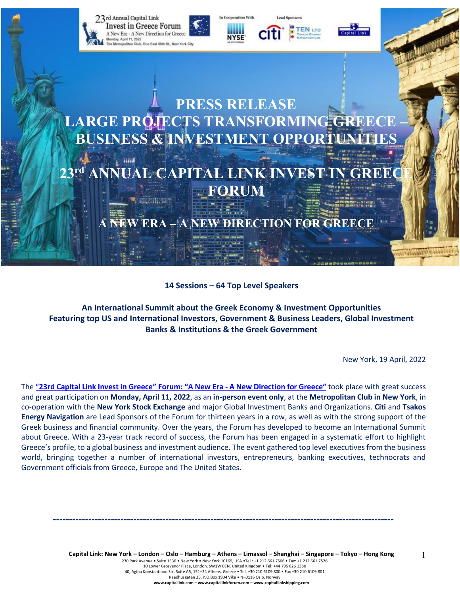

**14 Sessions – 64 Top Level Speakers**

**An International Summit about the Greek Economy & Investment Opportunities Featuring top US and International Investors, Government & Business Leaders, Global Investment Banks & Institutions & the Greek Government**

New York, 19 April, 2022

The "23rd Capital Link Invest in Greece" Forum: "A New Era - A New [Direction](https://forums.capitallink.com/greece/2021/) for Greece" took place with great success and great participation on **Monday, April 11, 2022**, as an **in-person event only**, at the **Metropolitan Club in New York**, in co-operation with the **New York Stock Exchange** and major Global Investment Banks and Organizations. **Citi** and **Tsakos Energy Navigation** are Lead Sponsors of the Forum for thirteen years in a row, as well as with the strong support of the Greek business and financial community. Over the years, the Forum has developed to become an International Summit about Greece. With a 23-year track record of success, the Forum has been engaged in a systematic effort to highlight Greece's profile, to a global business and investment audience. The event gathered top level executives from the business world, bringing together a number of international investors, entrepreneurs, banking executives, technocrats and Government officials from Greece, Europe and The United States.

> Capital Link: New York - London - Oslo - Hamburg - Athens - Limassol - Shanghai - Singapore - Tokyo - Hong Kong 230 Park Avenue • Suite 1536 • New York • New York 10169, USA •Tel.: +1 212 661 7566 • Fax: +1 212 661 7526 10 Lower Grosvenor Place, London, SW1W 0EN, United Kingdom • Tel: +44 795 626 2380 40, Agiou Konstantinou Str, Suite A5, 151–24 Athens, Greece • Tel. +30 210 6109 800 • Fax +30 210 6109 801 Raadhusgaten 25, P.O.Box 1904 Vika • N–0116 Oslo, Norway **www.capitallink.com – www.capitallinkforum.com – www.capitallinkshipping.com**

**----------------------------------------------------------------------------------------------------------**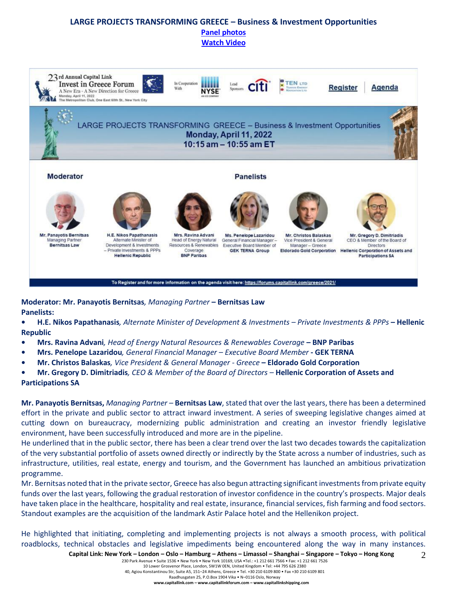#### **LARGE PROJECTS TRANSFORMING GREECE – Business & Investment Opportunities [Panel photos](https://forums.capitallink.com/greece/2021/images/zip/LARGE-PROJECTS-PANEL.zip) [Watch Video](https://www.youtube.com/watch?v=qt1BKRlKP1g)**



**Moderator: Mr. Panayotis Bernitsas***, Managing Partner* **– Bernitsas Law Panelists:**

- **• H.E. Nikos Papathanasis***, Alternate Minister of Development & Investments – Private Investments & PPPs* **– Hellenic Republic**
- **• Mrs. Ravina Advani***, Head of Energy Natural Resources & Renewables Coverage* **– BNP Paribas**
- **• Mrs. Penelope Lazaridou***, General Financial Manager – Executive Board Member* **- GEK TERNA**
- **• Mr. Christos Balaskas***, Vice President & General Manager - Greece* **– Eldorado Gold Corporation**
- **• Mr. Gregory D. Dimitriadis***, CEO & Member of the Board of Directors –* **Hellenic Corporation of Assets and Participations SA**

**Mr. Panayotis Bernitsas,** *Managing Partner –* **Bernitsas Law**, stated that over the last years, there has been a determined effort in the private and public sector to attract inward investment. A series of sweeping legislative changes aimed at cutting down on bureaucracy, modernizing public administration and creating an investor friendly legislative environment, have been successfully introduced and more are in the pipeline.

He underlined that in the public sector, there has been a clear trend over the last two decades towards the capitalization of the very substantial portfolio of assets owned directly or indirectly by the State across a number of industries, such as infrastructure, utilities, real estate, energy and tourism, and the Government has launched an ambitious privatization programme.

Mr. Bernitsas noted that in the private sector, Greece has also begun attracting significant investments from private equity funds over the last years, following the gradual restoration of investor confidence in the country's prospects. Major deals have taken place in the healthcare, hospitality and real estate, insurance, financial services, fish farming and food sectors. Standout examples are the acquisition of the landmark Astir Palace hotel and the Hellenikon project.

He highlighted that initiating, completing and implementing projects is not always a smooth process, with political roadblocks, technical obstacles and legislative impediments being encountered along the way in many instances.

 $\mathfrak{D}$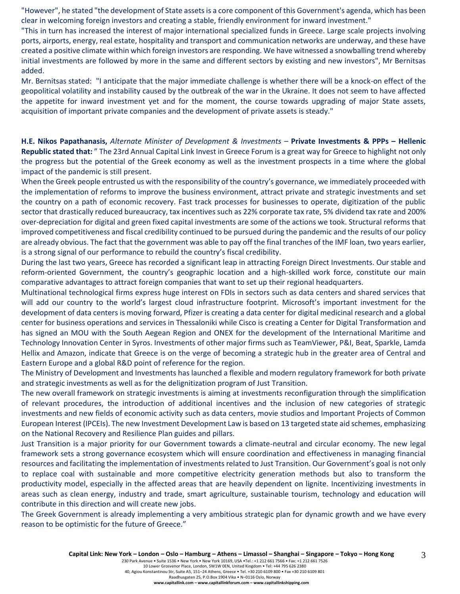"However", he stated "the development of State assets is a core component of this Government's agenda, which has been clear in welcoming foreign investors and creating a stable, friendly environment for inward investment."

"This in turn has increased the interest of major international specialized funds in Greece. Large scale projects involving ports, airports, energy, real estate, hospitality and transport and communication networks are underway, and these have created a positive climate within which foreign investors are responding. We have witnessed a snowballing trend whereby initial investments are followed by more in the same and different sectors by existing and new investors", Mr Bernitsas added.

Mr. Bernitsas stated: "I anticipate that the major immediate challenge is whether there will be a knock-on effect of the geopolitical volatility and instability caused by the outbreak of the war in the Ukraine. It does not seem to have affected the appetite for inward investment yet and for the moment, the course towards upgrading of major State assets, acquisition of important private companies and the development of private assets is steady."

**H.E. Nikos Papathanasis,** *Alternate Minister of Development & Investments –* **Private Investments & PPPs – Hellenic Republic stated that:** " The 23rd Annual Capital Link Invest in Greece Forum is a great way for Greece to highlight not only the progress but the potential of the Greek economy as well as the investment prospects in a time where the global impact of the pandemic is still present.

When the Greek people entrusted us with the responsibility of the country's governance, we immediately proceeded with the implementation of reforms to improve the business environment, attract private and strategic investments and set the country on a path of economic recovery. Fast track processes for businesses to operate, digitization of the public sector that drastically reduced bureaucracy, tax incentives such as 22% corporate tax rate, 5% dividend tax rate and 200% over-depreciation for digital and green fixed capital investments are some of the actions we took. Structural reforms that improved competitiveness and fiscal credibility continued to be pursued during the pandemic and the results of our policy are already obvious. The fact that the government was able to pay off the final tranches of the IMF loan, two years earlier, is a strong signal of our performance to rebuild the country's fiscal credibility.

During the last two years, Greece has recorded a significant leap in attracting Foreign Direct Investments. Our stable and reform-oriented Government, the country's geographic location and a high-skilled work force, constitute our main comparative advantages to attract foreign companies that want to set up their regional headquarters.

Multinational technological firms express huge interest on FDIs in sectors such as data centers and shared services that will add our country to the world's largest cloud infrastructure footprint. Microsoft's important investment for the development of data centers is moving forward, Pfizer is creating a data center for digital medicinal research and a global center for business operations and services in Thessaloniki while Cisco is creating a Center for Digital Transformation and has signed an MOU with the South Aegean Region and ONEX for the development of the International Maritime and Technology Innovation Center in Syros. Investments of other major firms such as TeamViewer, P&I, Beat, Sparkle, Lamda Hellix and Amazon, indicate that Greece is on the verge of becoming a strategic hub in the greater area of Central and Eastern Europe and a global R&D point of reference for the region.

The Ministry of Development and Investments has launched a flexible and modern regulatory framework for both private and strategic investments as well as for the delignitization program of Just Transition.

The new overall framework on strategic investments is aiming at investments reconfiguration through the simplification of relevant procedures, the introduction of additional incentives and the inclusion of new categories of strategic investments and new fields of economic activity such as data centers, movie studios and Important Projects of Common European Interest (IPCEIs). The new Investment Development Law is based on 13 targeted state aid schemes, emphasizing on the National Recovery and Resilience Plan guides and pillars.

Just Transition is a major priority for our Government towards a climate-neutral and circular economy. Τhe new legal framework sets a strong governance ecosystem which will ensure coordination and effectiveness in managing financial resources and facilitating the implementation of investments related to Just Transition. Our Government's goal is not only to replace coal with sustainable and more competitive electricity generation methods but also to transform the productivity model, especially in the affected areas that are heavily dependent on lignite. Incentivizing investments in areas such as clean energy, industry and trade, smart agriculture, sustainable tourism, technology and education will contribute in this direction and will create new jobs.

The Greek Government is already implementing a very ambitious strategic plan for dynamic growth and we have every reason to be optimistic for the future of Greece."

230 Park Avenue • Suite 1536 • New York • New York 10169, USA •Tel.: +1 212 661 7566 • Fax: +1 212 661 7526 10 Lower Grosvenor Place, London, SW1W 0EN, United Kingdom • Tel: +44 795 626 2380 40, Agiou Konstantinou Str, Suite A5, 151–24 Athens, Greece • Tel. +30 210 6109 800 • Fax +30 210 6109 801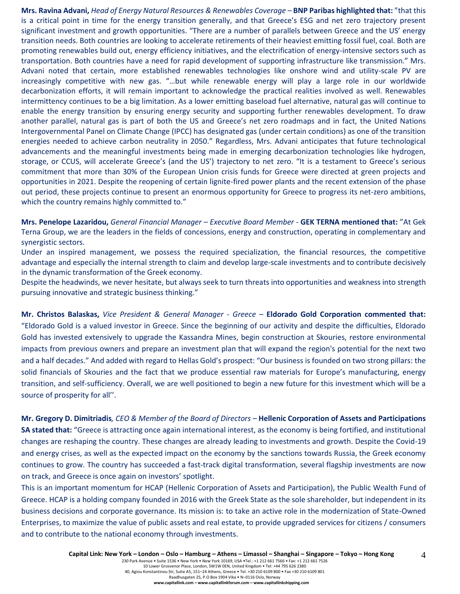**Mrs. Ravina Advani,** *Head of Energy Natural Resources & Renewables Coverage –* **BNP Paribas highlighted that:** "that this is a critical point in time for the energy transition generally, and that Greece's ESG and net zero trajectory present significant investment and growth opportunities. "There are a number of parallels between Greece and the US' energy transition needs. Both countries are looking to accelerate retirements of their heaviest emitting fossil fuel, coal. Both are promoting renewables build out, energy efficiency initiatives, and the electrification of energy-intensive sectors such as transportation. Both countries have a need for rapid development of supporting infrastructure like transmission." Mrs. Advani noted that certain, more established renewables technologies like onshore wind and utility-scale PV are increasingly competitive with new gas. "…but while renewable energy will play a large role in our worldwide decarbonization efforts, it will remain important to acknowledge the practical realities involved as well. Renewables intermittency continues to be a big limitation. As a lower emitting baseload fuel alternative, natural gas will continue to enable the energy transition by ensuring energy security and supporting further renewables development. To draw another parallel, natural gas is part of both the US and Greece's net zero roadmaps and in fact, the United Nations Intergovernmental Panel on Climate Change (IPCC) has designated gas (under certain conditions) as one of the transition energies needed to achieve carbon neutrality in 2050." Regardless, Mrs. Advani anticipates that future technological advancements and the meaningful investments being made in emerging decarbonization technologies like hydrogen, storage, or CCUS, will accelerate Greece's (and the US') trajectory to net zero. "It is a testament to Greece's serious commitment that more than 30% of the European Union crisis funds for Greece were directed at green projects and opportunities in 2021. Despite the reopening of certain lignite-fired power plants and the recent extension of the phase out period, these projects continue to present an enormous opportunity for Greece to progress its net-zero ambitions, which the country remains highly committed to."

**Mrs. Penelope Lazaridou,** *General Financial Manager – Executive Board Member -* **GEK TERNA mentioned that:** "At Gek Terna Group, we are the leaders in the fields of concessions, energy and construction, operating in complementary and synergistic sectors.

Under an inspired management, we possess the required specialization, the financial resources, the competitive advantage and especially the internal strength to claim and develop large-scale investments and to contribute decisively in the dynamic transformation of the Greek economy.

Despite the headwinds, we never hesitate, but always seek to turn threats into opportunities and weakness into strength pursuing innovative and strategic business thinking."

**Mr. Christos Balaskas,** *Vice President & General Manager - Greece –* **Eldorado Gold Corporation commented that:** "Eldorado Gold is a valued investor in Greece. Since the beginning of our activity and despite the difficulties, Eldorado Gold has invested extensively to upgrade the Kassandra Mines, begin construction at Skouries, restore environmental impacts from previous owners and prepare an investment plan that will expand the region's potential for the next two and a half decades." And added with regard to Hellas Gold's prospect: "Our business is founded on two strong pillars: the solid financials of Skouries and the fact that we produce essential raw materials for Europe's manufacturing, energy transition, and self-sufficiency. Overall, we are well positioned to begin a new future for this investment which will be a source of prosperity for all''.

**Mr. Gregory D. Dimitriadis***, CEO & Member of the Board of Directors –* **Hellenic Corporation of Assets and Participations SA stated that:** "Greece is attracting once again international interest, as the economy is being fortified, and institutional changes are reshaping the country. These changes are already leading to investments and growth. Despite the Covid-19 and energy crises, as well as the expected impact on the economy by the sanctions towards Russia, the Greek economy continues to grow. The country has succeeded a fast-track digital transformation, several flagship investments are now on track, and Greece is once again on investors' spotlight.

This is an important momentum for HCAP (Hellenic Corporation of Assets and Participation), the Public Wealth Fund of Greece. HCAP is a holding company founded in 2016 with the Greek State as the sole shareholder, but independent in its business decisions and corporate governance. Its mission is: to take an active role in the modernization of State-Owned Enterprises, to maximize the value of public assets and real estate, to provide upgraded services for citizens / consumers and to contribute to the national economy through investments.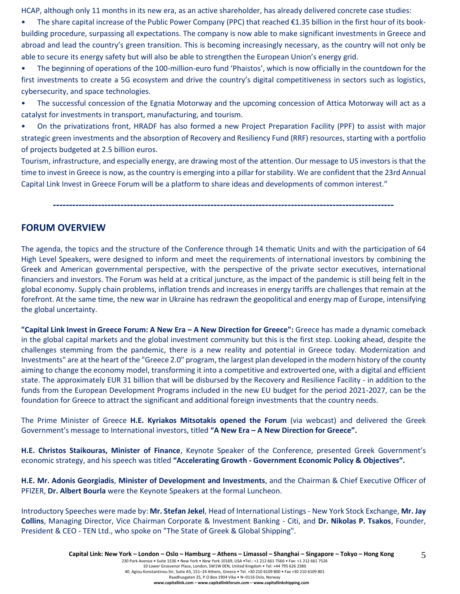HCAP, although only 11 months in its new era, as an active shareholder, has already delivered concrete case studies:

• The share capital increase of the Public Power Company (PPC) that reached  $\epsilon$ 1.35 billion in the first hour of its bookbuilding procedure, surpassing all expectations. The company is now able to make significant investments in Greece and abroad and lead the country's green transition. This is becoming increasingly necessary, as the country will not only be able to secure its energy safety but will also be able to strengthen the European Union's energy grid.

• The beginning of operations of the 100-million-euro fund 'Phaistos', which is now officially in the countdown for the first investments to create a 5G ecosystem and drive the country's digital competitiveness in sectors such as logistics, cybersecurity, and space technologies.

• The successful concession of the Egnatia Μotorway and the upcoming concession of Attica Motorway will act as a catalyst for investments in transport, manufacturing, and tourism.

• On the privatizations front, HRADF has also formed a new Project Preparation Facility (PPF) to assist with major strategic green investments and the absorption of Recovery and Resiliency Fund (RRF) resources, starting with a portfolio of projects budgeted at 2.5 billion euros.

Tourism, infrastructure, and especially energy, are drawing most of the attention. Our message to US investors is that the time to invest in Greece is now, as the country is emerging into a pillar for stability. We are confident that the 23rd Annual Capital Link Invest in Greece Forum will be a platform to share ideas and developments of common interest."

**----------------------------------------------------------------------------------------------------------**

# **FORUM OVERVIEW**

The agenda, the topics and the structure of the Conference through 14 thematic Units and with the participation of 64 High Level Speakers, were designed to inform and meet the requirements of international investors by combining the Greek and American governmental perspective, with the perspective of the private sector executives, international financiers and investors. The Forum was held at a critical juncture, as the impact of the pandemic is still being felt in the global economy. Supply chain problems, inflation trends and increases in energy tariffs are challenges that remain at the forefront. At the same time, the new war in Ukraine has redrawn the geopolitical and energy map of Europe, intensifying the global uncertainty.

**"Capital Link Invest in Greece Forum: A New Era – A New Direction for Greece":** Greece has made a dynamic comeback in the global capital markets and the global investment community but this is the first step. Looking ahead, despite the challenges stemming from the pandemic, there is a new reality and potential in Greece today. Modernization and Investments" are at the heart of the "Greece 2.0" program, the largest plan developed in the modern history of the county aiming to change the economy model, transforming it into a competitive and extroverted one, with a digital and efficient state. The approximately EUR 31 billion that will be disbursed by the Recovery and Resilience Facility - in addition to the funds from the European Development Programs included in the new EU budget for the period 2021-2027, can be the foundation for Greece to attract the significant and additional foreign investments that the country needs.

The Prime Minister of Greece **H.E. Kyriakos Mitsotakis opened the Forum** (via webcast) and delivered the Greek Government's message to International investors, titled **"A New Era – A New Direction for Greece".**

**H.E. Christos Staikouras, Minister of Finance**, Keynote Speaker of the Conference, presented Greek Government's economic strategy, and his speech was titled **"Accelerating Growth - Government Economic Policy & Objectives".**

**H.E. Mr. Adonis Georgiadis**, **Minister of Development and Investments**, and the Chairman & Chief Executive Officer of PFIZER, **Dr. Albert Bourla** were the Keynote Speakers at the formal Luncheon.

Introductory Speeches were made by: **Mr. Stefan Jekel**, Head of International Listings - New York Stock Exchange, **Mr. Jay Collins**, Managing Director, Vice Chairman Corporate & Investment Banking - Citi, and **Dr. Nikolas P. Tsakos**, Founder, President & CEO - TEN Ltd., who spoke on "The State of Greek & Global Shipping".

5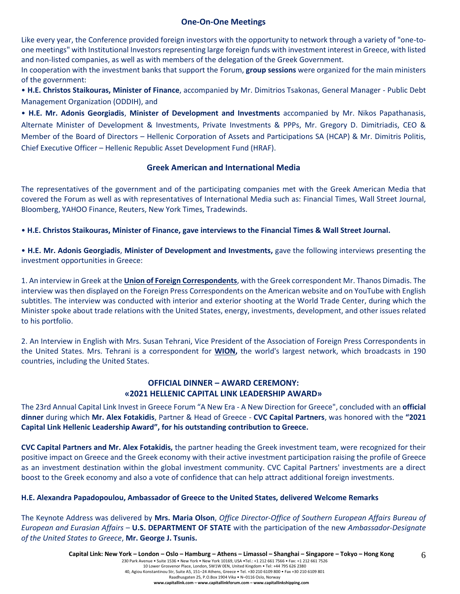#### **One-On-One Meetings**

Like every year, the Conference provided foreign investors with the opportunity to network through a variety of "one-toone meetings" with Institutional Investors representing large foreign funds with investment interest in Greece, with listed and non-listed companies, as well as with members of the delegation of the Greek Government.

In cooperation with the investment banks that support the Forum, **group sessions** were organized for the main ministers of the government:

• **H.E. Christos Staikouras, Minister of Finance**, accompanied by Mr. Dimitrios Tsakonas, General Manager - Public Debt Management Organization (ODDIH), and

• **H.E. Mr. Adonis Georgiadis**, **Minister of Development and Investments** accompanied by Mr. Nikos Papathanasis, Alternate Minister of Development & Investments, Private Investments & PPPs, Mr. Gregory D. Dimitriadis, CEO & Member of the Board of Directors – Hellenic Corporation of Assets and Participations SA (HCAP) & Mr. Dimitris Politis, Chief Executive Officer – Hellenic Republic Asset Development Fund (HRAF).

## **Greek American and International Media**

The representatives of the government and of the participating companies met with the Greek American Media that covered the Forum as well as with representatives of International Media such as: Financial Times, Wall Street Journal, Bloomberg, YAHOO Finance, Reuters, New York Times, Tradewinds.

• **H.E. Christos Staikouras, Minister of Finance, gave interviews to the Financial Times & Wall Street Journal.**

• **H.E. Mr. Adonis Georgiadis**, **Minister of Development and Investments,** gave the following interviews presenting the investment opportunities in Greece:

1. An interview in Greek at the **Union of Foreign Correspondents**, with the Greek correspondent Mr. Thanos Dimadis. The interview was then displayed on the Foreign Press Correspondents on the American website and on YouTube with English subtitles. The interview was conducted with interior and exterior shooting at the World Trade Center, during which the Minister spoke about trade relations with the United States, energy, investments, development, and other issues related to his portfolio.

2. An Interview in English with Mrs. Susan Tehrani, Vice President of the Association of Foreign Press Correspondents in the United States. Mrs. Tehrani is a correspondent for **WION,** the world's largest network, which broadcasts in 190 countries, including the United States.

## **OFFICIAL DINNER – AWARD CEREMONY: «2021 HELLENIC CAPITAL LINK LEADERSHIP AWARD»**

The 23rd Annual Capital Link Invest in Greece Forum "A New Era - A New Direction for Greece", concluded with an **official dinner** during which **Mr. Alex Fotakidis**, Partner & Head of Greece - **CVC Capital Partners**, was honored with the **"2021 Capital Link Hellenic Leadership Award", for his outstanding contribution to Greece.**

**CVC Capital Partners and Mr. Alex Fotakidis,** the partner heading the Greek investment team, were recognized for their positive impact on Greece and the Greek economy with their active investment participation raising the profile of Greece as an investment destination within the global investment community. CVC Capital Partners' investments are a direct boost to the Greek economy and also a vote of confidence that can help attract additional foreign investments.

## **H.E. Alexandra Papadopoulou, Ambassador of Greece to the United States, delivered Welcome Remarks**

The Keynote Address was delivered by **Mrs. Maria Olson**, *Office Director-Office of Southern European Affairs Bureau of European and Eurasian Affairs* – **U.S. DEPARTMENT OF STATE** with the participation of the new *Ambassador-Designate of the United States to Greece*, **Mr. George J. Tsunis.**

6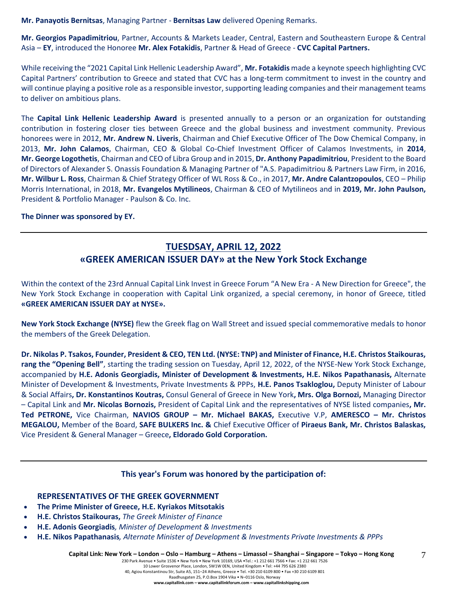**Mr. Panayotis Bernitsas**, Managing Partner - **Bernitsas Law** delivered Opening Remarks.

**Mr. Georgios Papadimitriou**, Partner, Accounts & Markets Leader, Central, Eastern and Southeastern Europe & Central Asia – **EY**, introduced the Honoree **Mr. Alex Fotakidis**, Partner & Head of Greece - **CVC Capital Partners.** 

While receiving the "2021 Capital Link Hellenic Leadership Award", **Mr. Fotakidis** made a keynote speech highlighting CVC Capital Partners' contribution to Greece and stated that CVC has a long-term commitment to invest in the country and will continue playing a positive role as a responsible investor, supporting leading companies and their management teams to deliver on ambitious plans.

The **Capital Link Hellenic Leadership Award** is presented annually to a person or an organization for outstanding contribution in fostering closer ties between Greece and the global business and investment community. Previous honorees were in 2012, **Mr. Andrew N. Liveris**, Chairman and Chief Executive Officer of The Dow Chemical Company, in 2013, **Mr. John Calamos**, Chairman, CEO & Global Co-Chief Investment Officer of Calamos Investments, in **2014**, **Mr. George Logothetis**, Chairman and CEO of Libra Group and in 2015, **Dr. Anthony Papadimitriou**, President to the Board of Directors of Alexander S. Onassis Foundation & Managing Partner of "A.S. Papadimitriou & Partners Law Firm, in 2016, **Mr. Wilbur L. Ross**, Chairman & Chief Strategy Officer of WL Ross & Co., in 2017, **Mr. Andre Calantzopoulos**, CEO – Philip Morris International, in 2018, **Mr. Evangelos Mytilineos**, Chairman & CEO of Mytilineos and in **2019, Mr. John Paulson,** President & Portfolio Manager - Paulson & Co. Inc.

#### **The Dinner was sponsored by ΕΥ.**

# **TUESDSAY, APRIL 12, 2022 «GREEK AMERICAN ISSUER DAY» at the New York Stock Exchange**

Within the context of the 23rd Annual Capital Link Invest in Greece Forum "A New Era - A New Direction for Greece", the New York Stock Exchange in cooperation with Capital Link organized, a special ceremony, in honor of Greece, titled **«GREEK AMERICAN ISSUER DAY at NYSE».**

**New York Stock Exchange (NYSE)** flew the Greek flag on Wall Street and issued special commemorative medals to honor the members of the Greek Delegation.

**Dr. Nikolas P. Tsakos, Founder, President & CEO, TEN Ltd. (NYSE: TNP) and Minister of Finance, H.E. Christos Staikouras, rang the "Opening Bell"**, starting the trading session on Tuesday, April 12, 2022, of the NYSE-New York Stock Exchange, accompanied by **H.E. Adonis Georgiadis, Minister of Development & Investments, H.E. Nikos Papathanasis,** Alternate Minister of Development & Investments, Private Investments & PPPs, **H.E. Panos Tsakloglou,** Deputy Minister of Labour & Social Affairs**, Dr. Konstantinos Koutras,** Consul General of Greece in New York**, Mrs. Olga Bornozi,** Managing Director – Capital Link and **Mr. Nicolas Bornozis,** President of Capital Link and the representatives of NYSE listed companies**, Mr. Τed PETRONE,** Vice Chairman, **NAVIOS GROUP – Mr. Michael BAKAS,** Executive V.P, **AMERESCO – Mr. Christos MEGALOU,** Member of the Board, **SAFE BULKERS Inc. &** Chief Executive Officer of **Piraeus Bank, Mr. Christos Balaskas,**  Vice President & General Manager – Greece**, Eldorado Gold Corporation.**

## **This year's Forum was honored by the participation of:**

## **REPRESENTATIVES OF THE GREEK GOVERNMENT**

- **The Prime Minister of Greece, H.E. Kyriakos Mitsotakis**
- **H.E. Christos Staikouras,** *The Greek Minister of Finance*
- **H.E. Adonis Georgiadis***, Minister of Development & Investments*
- **Η.Ε. Nikos Papathanasis***, Alternate Minister of Development & Investments Private Investments & PPPs*

Capital Link: New York - London - Oslo - Hamburg - Athens - Limassol - Shanghai - Singapore - Tokyo - Hong Kong

230 Park Avenue • Suite 1536 • New York • New York 10169, USA •Tel.: +1 212 661 7566 • Fax: +1 212 661 7526 10 Lower Grosvenor Place, London, SW1W 0EN, United Kingdom • Tel: +44 795 626 2380

7

40, Agiou Konstantinou Str, Suite A5, 151–24 Athens, Greece • Tel. +30 210 6109 800 • Fax +30 210 6109 801

Raadhusgaten 25, P.O.Box 1904 Vika • N–0116 Oslo, Norway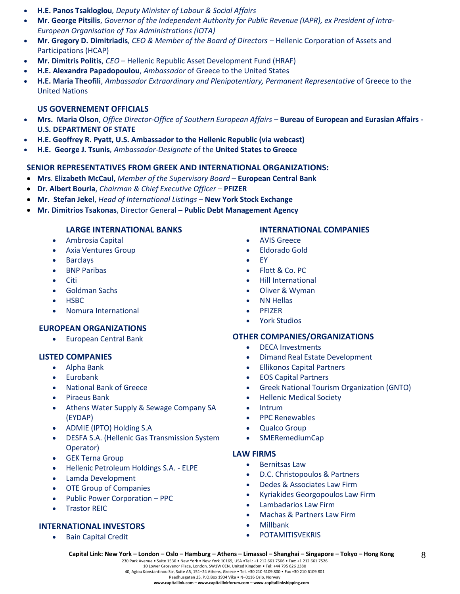- **H.E. Panos Tsakloglou***, Deputy Minister of Labour & Social Affairs*
- **Mr. George Pitsilis**, *Governor of the Independent Authority for Public Revenue (IAPR), ex President of Intra-European Organisation of Tax Administrations (IOTA)*
- **Mr. Gregory D. Dimitriadis***, CEO & Member of the Board of Directors –* Hellenic Corporation of Assets and Participations (HCAP)
- **Mr. Dimitris Politis**, *CEO* Hellenic Republic Asset Development Fund (HRAF)
- **H.E. Alexandra Papadopoulou**, *Ambassador* of Greece to the United States
- **H.E. Maria Theofili**, *Ambassador Extraordinary and Plenipotentiary, Permanent Representative* of Greece to the United Nations

## **US GOVERNEMENT OFFICIALS**

- **Mrs. Maria Olson**, *Office Director-Office of Southern European Affairs –* **Bureau of European and Eurasian Affairs - U.S. DEPARTMENT OF STATE**
- **H.E. Geoffrey R. Pyatt, U.S. Ambassador to the Hellenic Republic (via webcast)**
- **H.E. George J. Tsunis***, Ambassador-Designate* of the **United States to Greece**

## **SENIOR REPRESENTATIVES FROM GREEK AND INTERNATIONAL ORGANIZATIONS:**

- **Mrs**. **Elizabeth McCaul,** *Member of the Supervisory Board* **European Central Bank**
- **Dr. Albert Bourla**, *Chairman & Chief Executive Officer* **PFIZER**
- **Mr. Stefan Jekel**, *Head of International Listings* **New York Stock Exchange**
- **Mr. Dimitrios Tsakonas**, Director General **Public Debt Management Agency**

## **LARGE INTERNATIONAL BANKS**

- Ambrosia Capital
- Axia Ventures Group
- **Barclays**
- BNP Paribas
- Citi
- Goldman Sachs
- HSBC
- Nomura International

#### **EUROPEAN ORGANIZATIONS**

• European Central Bank

#### **LISTED COMPANIES**

- Alpha Bank
- **Eurobank**
- National Bank of Greece
- Piraeus Bank
- Athens Water Supply & Sewage Company SA (EYDAP)
- ADMIE (IPTO) Holding S.A
- DESFA S.A. (Hellenic Gas Transmission System Operator)
- **GEK Terna Group**
- Hellenic Petroleum Holdings S.A. ELPE
- Lamda Development
- OTE Group of Companies
- Public Power Corporation PPC
- **Trastor REIC**

#### **INTERNATIONAL INVESTORS**

• Bain Capital Credit

#### **INTERNATIONAL COMPANIES**

- AVIS Greece
- Eldorado Gold
- EY
- Flott & Co. PC
- Hill International
- Oliver & Wyman
- **NN Hellas**
- PFIZER
- York Studios

#### **OTHER COMPANIES/ORGANIZATIONS**

- DECA Investments
- Dimand Real Estate Development
- Ellikonos Capital Partners
- EOS Capital Partners
- Greek National Tourism Organization (GNTO)
- Hellenic Medical Society
- Intrum
- PPC Renewables
- Qualco Group
- SMERemediumCap

#### **LAW FIRMS**

- Bernitsas Law
- D.C. Christopoulos & Partners
- Dedes & Associates Law Firm
- Kyriakides Georgopoulos Law Firm

8

- Lambadarios Law Firm
- Machas & Partners Law Firm
- Millbank
- **POTAMITISVEKRIS**

230 Park Avenue • Suite 1536 • New York • New York 10169, USA •Tel.: +1 212 661 7566 • Fax: +1 212 661 7526 10 Lower Grosvenor Place, London, SW1W 0EN, United Kingdom • Tel: +44 795 626 2380

40, Agiou Konstantinou Str, Suite A5, 151–24 Athens, Greece • Tel. +30 210 6109 800 • Fax +30 210 6109 801 Raadhusgaten 25, P.O.Box 1904 Vika • N–0116 Oslo, Norway

**www.capitallink.com – www.capitallinkforum.com – www.capitallinkshipping.com**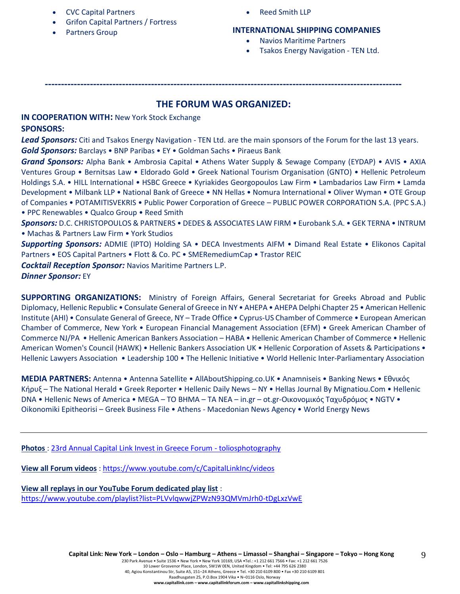- CVC Capital Partners
- Grifon Capital Partners / Fortress
- Partners Group

• Reed Smith LLP

## **INTERNATIONAL SHIPPING COMPANIES**

- Navios Maritime Partners
- Tsakos Energy Navigation TEN Ltd.

## **THE FORUM WAS ORGANIZED:**

**---------------------------------------------------------------------------------------------------------------**

**IN COOPERATION WITH:** New York Stock Exchange **SPONSORS:**

*Lead Sponsors:* Citi and Tsakos Energy Navigation - TEN Ltd. are the main sponsors of the Forum for the last 13 years. *Gold Sponsors:* Barclays • BNP Paribas • EY • Goldman Sachs • Piraeus Bank

*Grand Sponsors:* Alpha Bank • Ambrosia Capital • Athens Water Supply & Sewage Company (EYDAP) • AVIS • AXIA Ventures Group • Bernitsas Law • Eldorado Gold • Greek National Tourism Organisation (GNTO) • Hellenic Petroleum Holdings S.A. • HILL International • HSBC Greece • Kyriakides Georgopoulos Law Firm • Lambadarios Law Firm • Lamda Development • Milbank LLP • National Bank of Greece • NN Hellas • Nomura International • Oliver Wyman • OTE Group of Companies • POTAMITISVEKRIS • Public Power Corporation of Greece – PUBLIC POWER CORPORATION S.A. (PPC S.A.) • PPC Renewables • Qualco Group • Reed Smith

*Sponsors:* D.C. CHRISTOPOULOS & PARTNERS • DEDES & ASSOCIATES LAW FIRM • Eurobank S.A. • GEK TERNA • INTRUM • Machas & Partners Law Firm • York Studios

*Supporting Sponsors:* ADMIE (IPTO) Holding SA • DECA Investments AIFM • Dimand Real Estate • Elikonos Capital Partners • EOS Capital Partners • Flott & Co. PC • SMERemediumCap • Trastor REIC

*Cocktail Reception Sponsor:* Navios Maritime Partners L.P.

*Dinner Sponsor:* EY

**SUPPORTING ORGANIZATIONS:** Ministry of Foreign Affairs, General Secretariat for Greeks Abroad and Public Diplomacy, Hellenic Republic • Consulate General of Greece in NY • AHEPA • AHEPA Delphi Chapter 25 • American Hellenic Institute (AHI) • Consulate General of Greece, NY – Trade Office • Cyprus-US Chamber of Commerce • European American Chamber of Commerce, New York • European Financial Management Association (EFM) • Greek American Chamber of Commerce NJ/PA • Hellenic American Bankers Association – HABA • Hellenic American Chamber of Commerce • Hellenic American Women's Council (HAWK) • Hellenic Bankers Association UK • Hellenic Corporation of Assets & Participations • Hellenic Lawyers Association • Leadership 100 • The Hellenic Initiative • World Hellenic Inter-Parliamentary Association

**MEDIA PARTNERS:** Antenna • Antenna Satellite • AllAboutShipping.co.UK • Anamniseis • Banking News • Εθνικός Κήρυξ – The National Herald • Greek Reporter • Hellenic Daily News – NY • Hellas Journal By Mignatiou.Com • Hellenic DNA • Hellenic News of America • MEGA – TO BHMA – TA NEA – in.gr – ot.gr-Οικονομικός Ταχυδρόμος • NGTV • Oikonomiki Epitheorisi – Greek Business File • Athens - Macedonian News Agency • World Energy News

**Photos** : [23rd Annual Capital Link Invest in Greece Forum -](https://www.toliosphotography.com/ToliosEvents/CAPITAL-LINK-/23rd-Annual-Capital-Link-New-York-City/n-RHX6QD/) toliosphotography

**View all Forum videos** :<https://www.youtube.com/c/CapitalLinkInc/videos>

**View all replays in our YouTube Forum dedicated play list** : <https://www.youtube.com/playlist?list=PLVvlqwwjZPWzN93QMVmJrh0-tDgLxzVwE>